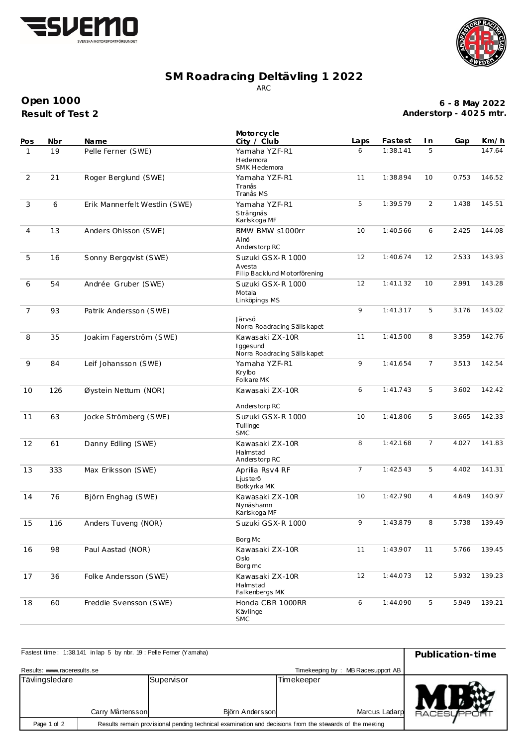



## **SM Roadracing Deltävling 1 2022** ARC

**Result of Test 2 Open 1000**

**6 - 8 May 2022 Anderstorp - 402 5 mtr.**

| Pos            | Nbr | <b>Name</b>                   | Motorcycle<br>City / Club                                   | Laps           | Fastest                    | I n            | Gap   | Km/h   |
|----------------|-----|-------------------------------|-------------------------------------------------------------|----------------|----------------------------|----------------|-------|--------|
| $\mathbf{1}$   | 19  | Pelle Ferner (SWE)            | Yamaha YZF-R1<br>Hedemora<br>SMK Hedemora                   | 6              | 1:38.141                   | 5              |       | 147.64 |
| 2              | 21  | Roger Berglund (SWE)          | Yamaha YZF-R1<br>Tranås<br>Tranås MS                        | 11             | 1:38.894                   | 10             | 0.753 | 146.52 |
| 3              | 6   | Erik Mannerfelt Westlin (SWE) | Yamaha YZF-R1<br>Strängnäs<br>Karlskoga MF                  | 5              | 1:39.579<br>10<br>1:40.566 |                | 1.438 | 145.51 |
| 4              | 13  | Anders Ohlsson (SWE)          | BMW BMW s1000rr<br>Alnö<br>Anderstorp RC                    |                |                            | 6              | 2.425 | 144.08 |
| 5              | 16  | Sonny Bergqvist (SWE)         | Suzuki GSX-R 1000<br>Avesta<br>Filip Backlund Motorförening | 12             | 1:40.674                   | 12             | 2.533 | 143.93 |
| 6              | 54  | Andrée Gruber (SWE)           | Suzuki GSX-R 1000<br>Motala<br>Linköpings MS                | 12             | 1:41.132                   | 10             | 2.991 | 143.28 |
| $\overline{7}$ | 93  | Patrik Andersson (SWE)        | Järvsö<br>Norra Roadracing Sälls kapet                      | 9<br>1:41.317  |                            | 5              | 3.176 | 143.02 |
| 8              | 35  | Joakim Fagerström (SWE)       | Kawasaki ZX-10R<br>Iggesund<br>Norra Roadracing Sällskapet  | 11             | 1:41.500                   | 8              | 3.359 | 142.76 |
| 9              | 84  | Leif Johansson (SWE)          | Yamaha YZF-R1<br>Krvlbo<br>Folkare MK                       | 9              | 1:41.654                   | $\overline{7}$ | 3.513 | 142.54 |
| 10             | 126 | Øystein Nettum (NOR)          | Kawasaki ZX-10R<br>Anderstorp RC                            | 6              | 1:41.743                   | 5              | 3.602 | 142.42 |
| 11             | 63  | Jocke Strömberg (SWE)         | Suzuki GSX-R 1000<br>Tullinge<br><b>SMC</b>                 | 10             | 1:41.806                   | 5              | 3.665 | 142.33 |
| 12             | 61  | Danny Edling (SWE)            | Kawasaki ZX-10R<br>Halmstad<br>Anderstorp RC                | 8              | 1:42.168                   | 7              | 4.027 | 141.83 |
| 13             | 333 | Max Eriksson (SWE)            | Aprilia Rsv4 RF<br>Ljusterö<br>Botkyrka MK                  | $\overline{7}$ | 1:42.543                   | 5              | 4.402 | 141.31 |
| 14             | 76  | Björn Enghag (SWE)            | Kawasaki ZX-10R<br>Nynäshamn<br>Karlskoga MF                | 10             | 1:42.790                   | $\overline{4}$ | 4.649 | 140.97 |
| 15             | 116 | Anders Tuveng (NOR)           | Suzuki GSX-R 1000<br>Borg Mc                                | 9              | 1:43.879                   | 8              | 5.738 | 139.49 |
| 16             | 98  | Paul Aastad (NOR)             | Kawasaki ZX-10R<br>Oslo<br>Borg mc                          | 11             | 1:43.907                   | 11             | 5.766 | 139.45 |
| 17             | 36  | Folke Andersson (SWE)         | Kawasaki ZX-10R<br>Halmstad<br>Falkenbergs MK               | 12<br>1:44.073 |                            | 12             | 5.932 | 139.23 |
| 18             | 60  | Freddie Svensson (SWE)        | Honda CBR 1000RR<br>Kävlinge<br><b>SMC</b>                  | 6              | 1:44.090                   | 5              | 5.949 | 139.21 |

| Fastest time: 1:38.141 in lap 5 by nbr. 19 : Pelle Ferner (Yamaha) | Publication-time                                                                                        |                               |                             |                     |
|--------------------------------------------------------------------|---------------------------------------------------------------------------------------------------------|-------------------------------|-----------------------------|---------------------|
| Results: www.raceresults.se                                        | Timekeeping by: MB Racesupport AB                                                                       |                               |                             |                     |
| Tävlingsledare<br>Carry Mårtensson                                 |                                                                                                         | Supervisor<br>Björn Andersson | Timekeeper<br>Marcus Ladarp | <b>RACESLIFPORT</b> |
| Page 1 of 2                                                        | Results remain provisional pending technical examination and decisions from the stewards of the meeting |                               |                             |                     |